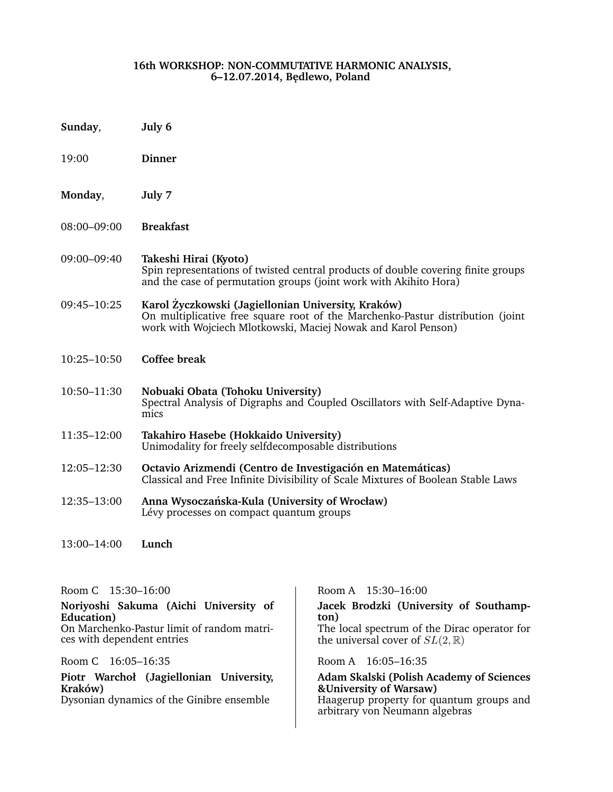### **16th WORKSHOP: NON-COMMUTATIVE HARMONIC ANALYSIS, 6–12.07.2014, B˛edlewo, Poland**

- **Sunday**, **July 6**
- 19:00 **Dinner**
- **Monday**, **July 7**
- 08:00–09:00 **Breakfast**

09:00–09:40 **Takeshi Hirai (Kyoto)** Spin representations of twisted central products of double covering finite groups and the case of permutation groups (joint work with Akihito Hora)

- 09:45–10:25 **Karol Zyczkowski (Jagiellonian University, Kraków) ˙** On multiplicative free square root of the Marchenko-Pastur distribution (joint work with Wojciech Mlotkowski, Maciej Nowak and Karol Penson)
- 10:25–10:50 **Coffee break**
- 10:50–11:30 **Nobuaki Obata (Tohoku University)** Spectral Analysis of Digraphs and Coupled Oscillators with Self-Adaptive Dynamics
- 11:35–12:00 **Takahiro Hasebe (Hokkaido University)** Unimodality for freely selfdecomposable distributions
- 12:05–12:30 **Octavio Arizmendi (Centro de Investigación en Matemáticas)** Classical and Free Infinite Divisibility of Scale Mixtures of Boolean Stable Laws
- 12:35–13:00 **Anna Wysoczanska-Kula (University of Wrocław) ´** Lévy processes on compact quantum groups

13:00–14:00 **Lunch**

**Noriyoshi Sakuma (Aichi University of Education)** On Marchenko-Pastur limit of random matrices with dependent entries

**Piotr Warchoł (Jagiellonian University, Kraków)**

Room C 15:30–16:00 Room A 15:30–16:00

**Jacek Brodzki (University of Southampton)** The local spectrum of the Dirac operator for the universal cover of  $SL(2,\mathbb{R})$ 

Room C 16:05–16:35 Room A 16:05–16:35

## **Adam Skalski (Polish Academy of Sciences &University of Warsaw)**

Haagerup property for quantum groups and arbitrary von Neumann algebras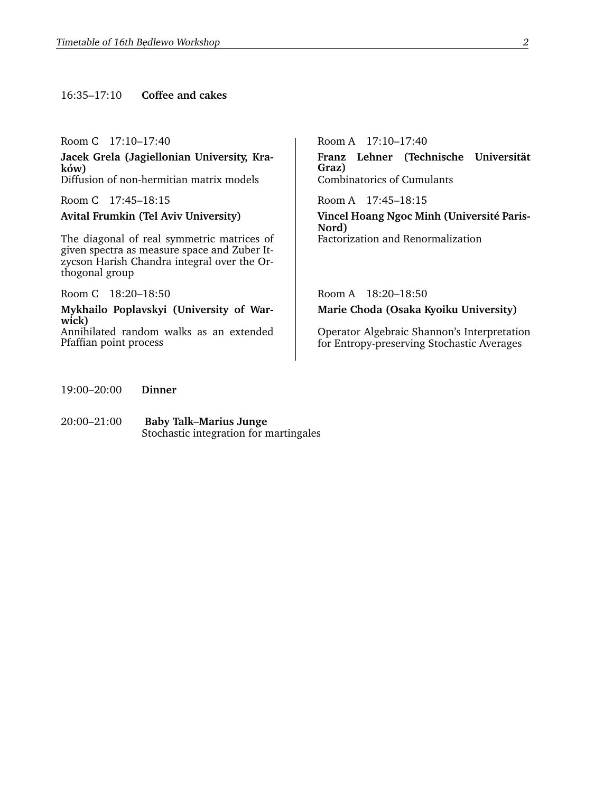### 16:35–17:10 **Coffee and cakes**

**Jacek Grela (Jagiellonian University, Kraków)** Diffusion of non-hermitian matrix models Combinatorics of Cumulants

The diagonal of real symmetric matrices of given spectra as measure space and Zuber Itzycson Harish Chandra integral over the Orthogonal group

Room C 18:20-18:50 Room A 18:20-18:50

**Mykhailo Poplavskyi (University of Warwick)** Annihilated random walks as an extended

Pfaffian point process

Room C 17:10-17:40 Room A 17:10-17:40 **Franz Lehner (Technische Universität Graz)**

Room C 17:45–18:15 Room A 17:45–18:15

**Avital Frumkin (Tel Aviv University) Vincel Hoang Ngoc Minh (Université Paris-Nord)** Factorization and Renormalization

**Marie Choda (Osaka Kyoiku University)**

Operator Algebraic Shannon's Interpretation for Entropy-preserving Stochastic Averages

- 19:00–20:00 **Dinner**
- 20:00–21:00 **Baby Talk**–**Marius Junge** Stochastic integration for martingales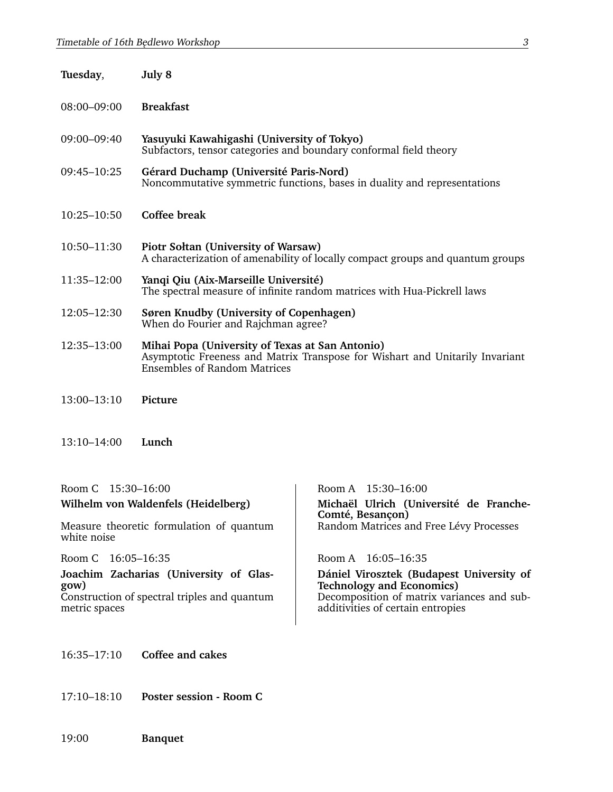| Tuesday,        | July 8                                                                                                                                                                 |
|-----------------|------------------------------------------------------------------------------------------------------------------------------------------------------------------------|
| 08:00-09:00     | <b>Breakfast</b>                                                                                                                                                       |
| 09:00-09:40     | Yasuyuki Kawahigashi (University of Tokyo)<br>Subfactors, tensor categories and boundary conformal field theory                                                        |
| 09:45-10:25     | Gérard Duchamp (Université Paris-Nord)<br>Noncommutative symmetric functions, bases in duality and representations                                                     |
| $10:25 - 10:50$ | Coffee break                                                                                                                                                           |
| 10:50-11:30     | Piotr Soltan (University of Warsaw)<br>A characterization of amenability of locally compact groups and quantum groups                                                  |
| 11:35-12:00     | Yanqi Qiu (Aix-Marseille Université)<br>The spectral measure of infinite random matrices with Hua-Pickrell laws                                                        |
| $12:05 - 12:30$ | Søren Knudby (University of Copenhagen)<br>When do Fourier and Rajchman agree?                                                                                         |
| 12:35-13:00     | Mihai Popa (University of Texas at San Antonio)<br>Asymptotic Freeness and Matrix Transpose for Wishart and Unitarily Invariant<br><b>Ensembles of Random Matrices</b> |
| 13:00-13:10     | Picture                                                                                                                                                                |

13:10–14:00 **Lunch**

| Room C 15:30-16:00                                                                                              | Room A 15:30-16:00                                                                                                                                              |
|-----------------------------------------------------------------------------------------------------------------|-----------------------------------------------------------------------------------------------------------------------------------------------------------------|
| Wilhelm von Waldenfels (Heidelberg)                                                                             | Michaël Ulrich (Université de Franche-<br>Comté, Besançon)                                                                                                      |
| Measure theoretic formulation of quantum<br>white noise                                                         | Random Matrices and Free Lévy Processes                                                                                                                         |
| Room C 16:05-16:35                                                                                              | Room A $16:05-16:35$                                                                                                                                            |
| Joachim Zacharias (University of Glas-<br>gow)<br>Construction of spectral triples and quantum<br>metric spaces | Dániel Virosztek (Budapest University of<br><b>Technology and Economics)</b><br>Decomposition of matrix variances and sub-<br>additivities of certain entropies |

## 16:35–17:10 **Coffee and cakes**

17:10–18:10 **Poster session - Room C**

19:00 **Banquet**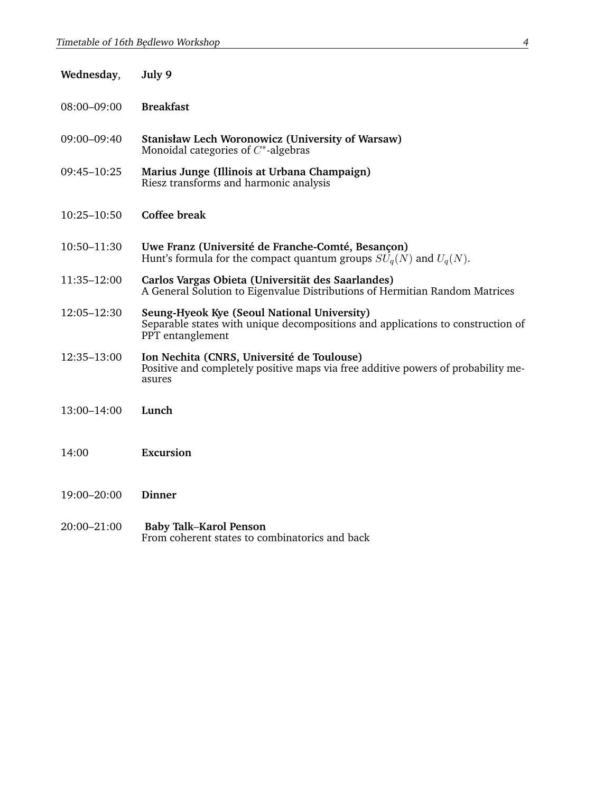| Wednesday,  | July 9                                                                                                                                             |
|-------------|----------------------------------------------------------------------------------------------------------------------------------------------------|
| 08:00-09:00 | <b>Breakfast</b>                                                                                                                                   |
| 09:00-09:40 | <b>Stanisław Lech Woronowicz (University of Warsaw)</b><br>Monoidal categories of $C^*$ -algebras                                                  |
| 09:45-10:25 | Marius Junge (Illinois at Urbana Champaign)<br>Riesz transforms and harmonic analysis                                                              |
| 10:25-10:50 | <b>Coffee break</b>                                                                                                                                |
| 10:50-11:30 | Uwe Franz (Université de Franche-Comté, Besançon)<br>Hunt's formula for the compact quantum groups $SU_q(N)$ and $U_q(N)$ .                        |
| 11:35–12:00 | Carlos Vargas Obieta (Universität des Saarlandes)<br>A General Solution to Eigenvalue Distributions of Hermitian Random Matrices                   |
| 12:05-12:30 | Seung-Hyeok Kye (Seoul National University)<br>Separable states with unique decompositions and applications to construction of<br>PPT entanglement |
| 12:35-13:00 | Ion Nechita (CNRS, Université de Toulouse)<br>Positive and completely positive maps via free additive powers of probability me-<br>asures          |
| 13:00-14:00 | Lunch                                                                                                                                              |
| 14:00       | Excursion                                                                                                                                          |
| 19:00-20:00 | <b>Dinner</b>                                                                                                                                      |
| 20:00-21:00 | <b>Baby Talk-Karol Penson</b><br>From coherent states to combinatorics and back                                                                    |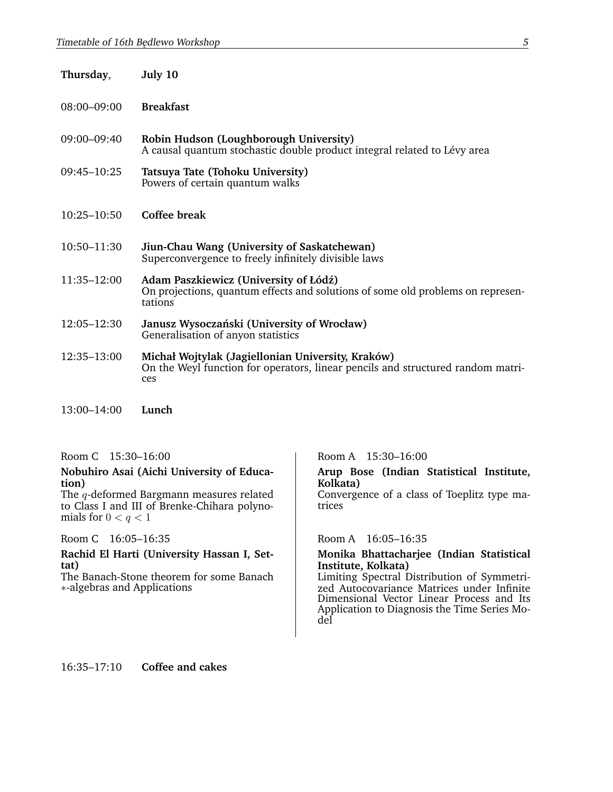| Thursday,       | July 10                                                                                                                                     |
|-----------------|---------------------------------------------------------------------------------------------------------------------------------------------|
| 08:00-09:00     | <b>Breakfast</b>                                                                                                                            |
| 09:00-09:40     | Robin Hudson (Loughborough University)<br>A causal quantum stochastic double product integral related to Lévy area                          |
| 09:45-10:25     | Tatsuya Tate (Tohoku University)<br>Powers of certain quantum walks                                                                         |
| $10:25 - 10:50$ | Coffee break                                                                                                                                |
| 10:50-11:30     | Jiun-Chau Wang (University of Saskatchewan)<br>Superconvergence to freely infinitely divisible laws                                         |
| 11:35-12:00     | Adam Paszkiewicz (University of Łódź)<br>On projections, quantum effects and solutions of some old problems on represen-<br>tations         |
| 12:05-12:30     | Janusz Wysoczański (University of Wrocław)<br>Generalisation of anyon statistics                                                            |
| 12:35-13:00     | Michał Wojtylak (Jagiellonian University, Kraków)<br>On the Weyl function for operators, linear pencils and structured random matri-<br>ces |
| 13:00-14:00     | Lunch                                                                                                                                       |

### **Nobuhiro Asai (Aichi University of Education)**

The q-deformed Bargmann measures related to Class I and III of Brenke-Chihara polynomials for  $0 < q < 1$ 

Room C 16:05-16:35 Room A 16:05-16:35

**Rachid El Harti (University Hassan I, Settat)**

The Banach-Stone theorem for some Banach ∗-algebras and Applications

Room C 15:30-16:00 Room A 15:30-16:00

**Arup Bose (Indian Statistical Institute, Kolkata)**

Convergence of a class of Toeplitz type matrices

### **Monika Bhattacharjee (Indian Statistical Institute, Kolkata)**

Limiting Spectral Distribution of Symmetrized Autocovariance Matrices under Infinite Dimensional Vector Linear Process and Its Application to Diagnosis the Time Series Model

16:35–17:10 **Coffee and cakes**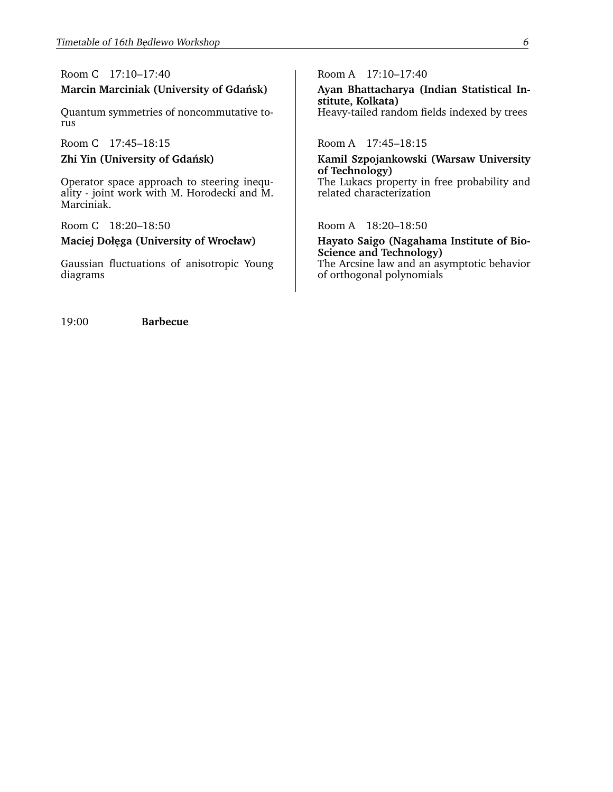# Room C 17:10-17:40 Room A 17:10-17:40

Quantum symmetries of noncommutative torus

Room C 17:45-18:15 Room A 17:45-18:15

Operator space approach to steering inequality - joint work with M. Horodecki and M. Marciniak.

Room C 18:20-18:50 Room A 18:20-18:50

Gaussian fluctuations of anisotropic Young diagrams

**Marcin Marciniak (University of Gdansk) ´ Ayan Bhattacharya (Indian Statistical Institute, Kolkata)** Heavy-tailed random fields indexed by trees

**Zhi Yin (University of Gdansk) ´ Kamil Szpojankowski (Warsaw University of Technology)** The Lukacs property in free probability and related characterization

Maciej Dołęga (University of Wrocław) **Hayato Saigo (Nagahama Institute of Bio-Science and Technology)** The Arcsine law and an asymptotic behavior of orthogonal polynomials

19:00 **Barbecue**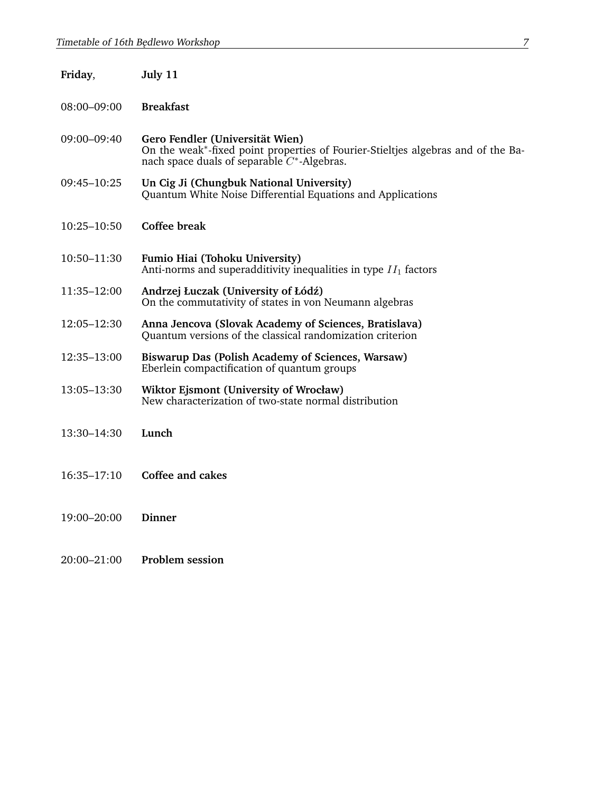| Friday,         | July 11                                                                                                                                                               |
|-----------------|-----------------------------------------------------------------------------------------------------------------------------------------------------------------------|
| $08:00 - 09:00$ | <b>Breakfast</b>                                                                                                                                                      |
| 09:00-09:40     | Gero Fendler (Universität Wien)<br>On the weak*-fixed point properties of Fourier-Stieltjes algebras and of the Ba-<br>nach space duals of separable $C^*$ -Algebras. |
| $09:45 - 10:25$ | Un Cig Ji (Chungbuk National University)<br>Quantum White Noise Differential Equations and Applications                                                               |
| $10:25 - 10:50$ | <b>Coffee break</b>                                                                                                                                                   |
| 10:50-11:30     | Fumio Hiai (Tohoku University)<br>Anti-norms and superadditivity inequalities in type $II_1$ factors                                                                  |
| 11:35-12:00     | Andrzej Łuczak (University of Łódź)<br>On the commutativity of states in von Neumann algebras                                                                         |
| 12:05-12:30     | Anna Jencova (Slovak Academy of Sciences, Bratislava)<br>Quantum versions of the classical randomization criterion                                                    |
| 12:35–13:00     | <b>Biswarup Das (Polish Academy of Sciences, Warsaw)</b><br>Eberlein compactification of quantum groups                                                               |
| 13:05–13:30     | Wiktor Ejsmont (University of Wrocław)<br>New characterization of two-state normal distribution                                                                       |
| 13:30–14:30     | Lunch                                                                                                                                                                 |
| $16:35 - 17:10$ | Coffee and cakes                                                                                                                                                      |
| 19:00-20:00     | <b>Dinner</b>                                                                                                                                                         |
| 20:00-21:00     | <b>Problem session</b>                                                                                                                                                |